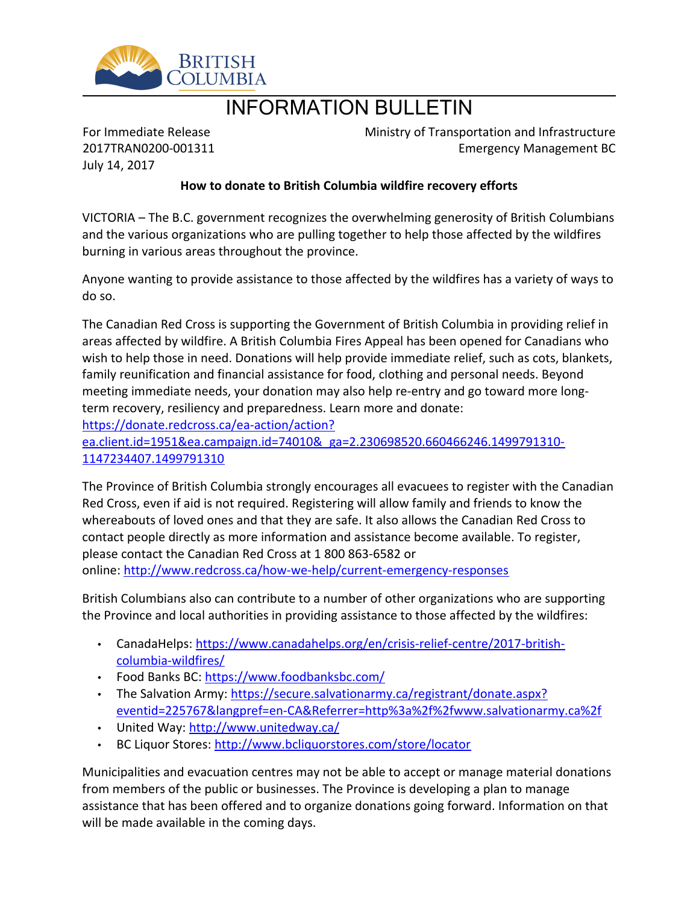

# INFORMATION BULLETIN

For Immediate Release 2017TRAN0200-001311 July 14, 2017

Ministry of Transportation and Infrastructure Emergency Management BC

## **How to donate to British Columbia wildfire recovery efforts**

VICTORIA – The B.C. government recognizes the overwhelming generosity of British Columbians and the various organizations who are pulling together to help those affected by the wildfires burning in various areas throughout the province.

Anyone wanting to provide assistance to those affected by the wildfires has a variety of ways to do so.

The Canadian Red Cross is supporting the Government of British Columbia in providing relief in areas affected by wildfire. A British Columbia Fires Appeal has been opened for Canadians who wish to help those in need. Donations will help provide immediate relief, such as cots, blankets, family reunification and financial assistance for food, clothing and personal needs. Beyond meeting immediate needs, your donation may also help re-entry and go toward more longterm recovery, resiliency and preparedness. Learn more and donate:

[https://donate.redcross.ca/ea-action/action?](https://donate.redcross.ca/ea-action/action?ea.client.id=1951&ea.campaign.id=74010&_ga=2.230698520.660466246.1499791310-1147234407.1499791310)

[ea.client.id=1951&ea.campaign.id=74010&\\_ga=2.230698520.660466246.1499791310-](https://donate.redcross.ca/ea-action/action?ea.client.id=1951&ea.campaign.id=74010&_ga=2.230698520.660466246.1499791310-1147234407.1499791310) [1147234407.1499791310](https://donate.redcross.ca/ea-action/action?ea.client.id=1951&ea.campaign.id=74010&_ga=2.230698520.660466246.1499791310-1147234407.1499791310)

The Province of British Columbia strongly encourages all evacuees to register with the Canadian Red Cross, even if aid is not required. Registering will allow family and friends to know the whereabouts of loved ones and that they are safe. It also allows the Canadian Red Cross to contact people directly as more information and assistance become available. To register, please contact the Canadian Red Cross at 1 800 863-6582 or online:<http://www.redcross.ca/how-we-help/current-emergency-responses>

British Columbians also can contribute to a number of other organizations who are supporting the Province and local authorities in providing assistance to those affected by the wildfires:

- CanadaHelps: [https://www.canadahelps.org/en/crisis-relief-centre/2017-british](https://www.canadahelps.org/en/crisis-relief-centre/2017-british-columbia-wildfires/)[columbia-wildfires/](https://www.canadahelps.org/en/crisis-relief-centre/2017-british-columbia-wildfires/)
- Food Banks BC: <https://www.foodbanksbc.com/>
- The Salvation Army: [https://secure.salvationarmy.ca/registrant/donate.aspx?](https://secure.salvationarmy.ca/registrant/donate.aspx?eventid=225767&langpref=en-CA&Referrer=http%3a%2f%2fwww.salvationarmy.ca%2f) [eventid=225767&langpref=en-CA&Referrer=http%3a%2f%2fwww.salvationarmy.ca%2f](https://secure.salvationarmy.ca/registrant/donate.aspx?eventid=225767&langpref=en-CA&Referrer=http%3a%2f%2fwww.salvationarmy.ca%2f)
- . United Way: <http://www.unitedway.ca/>
- BC Liquor Stores: <http://www.bcliquorstores.com/store/locator>

Municipalities and evacuation centres may not be able to accept or manage material donations from members of the public or businesses. The Province is developing a plan to manage assistance that has been offered and to organize donations going forward. Information on that will be made available in the coming days.